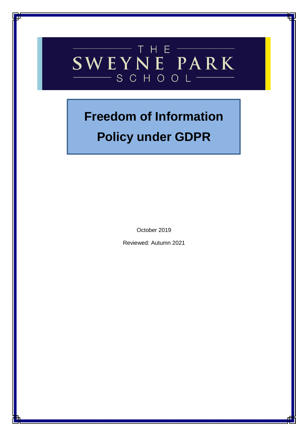## THE SWEYNE PARK  $-SCHOOOL$

# **Freedom of Information**

## **Policy under GDPR**

October 2019

Reviewed: Autumn 2021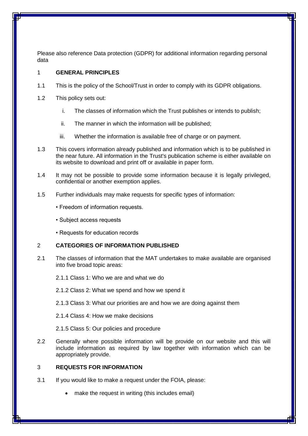Please also reference Data protection (GDPR) for additional information regarding personal data

#### 1 **GENERAL PRINCIPLES**

- 1.1 This is the policy of the School/Trust in order to comply with its GDPR obligations.
- 1.2 This policy sets out:
	- i. The classes of information which the Trust publishes or intends to publish;
	- ii. The manner in which the information will be published;
	- iii. Whether the information is available free of charge or on payment.
- 1.3 This covers information already published and information which is to be published in the near future. All information in the Trust's publication scheme is either available on its website to download and print off or available in paper form.
- 1.4 It may not be possible to provide some information because it is legally privileged, confidential or another exemption applies.
- 1.5 Further individuals may make requests for specific types of information:
	- Freedom of information requests.
	- Subject access requests
	- Requests for education records

#### 2 **CATEGORIES OF INFORMATION PUBLISHED**

- 2.1 The classes of information that the MAT undertakes to make available are organised into five broad topic areas:
	- 2.1.1 Class 1: Who we are and what we do
	- 2.1.2 Class 2: What we spend and how we spend it
	- 2.1.3 Class 3: What our priorities are and how we are doing against them
	- 2.1.4 Class 4: How we make decisions
	- 2.1.5 Class 5: Our policies and procedure
- 2.2 Generally where possible information will be provide on our website and this will include information as required by law together with information which can be appropriately provide.

### 3 **REQUESTS FOR INFORMATION**

- 3.1 If you would like to make a request under the FOIA, please:
	- make the request in writing (this includes email)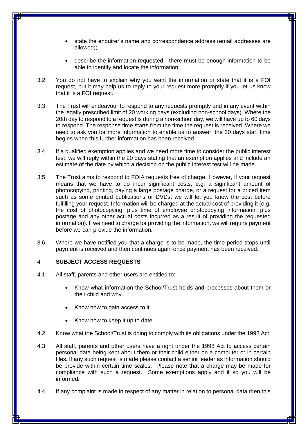- state the enquirer's name and correspondence address (email addresses are allowed);
- describe the information requested there must be enough information to be able to identify and locate the information.
- 3.2 You do not have to explain why you want the information or state that it is a FOI request, but it may help us to reply to your request more promptly if you let us know that it is a FOI request.
- 3.3 The Trust will endeavour to respond to any requests promptly and in any event within the legally prescribed limit of 20 working days (excluding non-school days). Where the 20th day to respond to a request is during a non-school day, we will have up to 60 days to respond. The response time starts from the time the request is received. Where we need to ask you for more information to enable us to answer, the 20 days start time begins when this further information has been received.
- 3.4 If a qualified exemption applies and we need more time to consider the public interest test, we will reply within the 20 days stating that an exemption applies and include an estimate of the date by which a decision on the public interest test will be made.
- 3.5 The Trust aims to respond to FOIA requests free of charge. However, if your request means that we have to do incur significant costs, e.g. a significant amount of photocopying, printing, paying a large postage charge, or a request for a priced item such as some printed publications or DVDs, we will let you know the cost before fulfilling your request. Information will be charged at the actual cost of providing it (e.g. the cost of photocopying, plus time of employee photocopying information, plus postage and any other actual costs incurred as a result of providing the requested information). If we need to charge for providing the information, we will require payment before we can provide the information.
- 3.6 Where we have notified you that a charge is to be made, the time period stops until payment is received and then continues again once payment has been received.

#### 4 **SUBJECT ACCESS REQUESTS**

- 4.1 All staff, parents and other users are entitled to:
	- Know what information the School/Trust holds and processes about them or their child and why.
	- Know how to gain access to it.
	- Know how to keep it up to date.
- 4.2 Know what the School/Trust is doing to comply with its obligations under the 1998 Act.
- 4.3 All staff, parents and other users have a right under the 1998 Act to access certain personal data being kept about them or their child either on a computer or in certain files. If any such request is made please contact a senior leader as information should be provide within certain time scales. Please note that a charge may be made for compliance with such a request. Some exemptions apply and if so you will be informed.
- 4.4 If any complaint is made in respect of any matter in relation to personal data then this